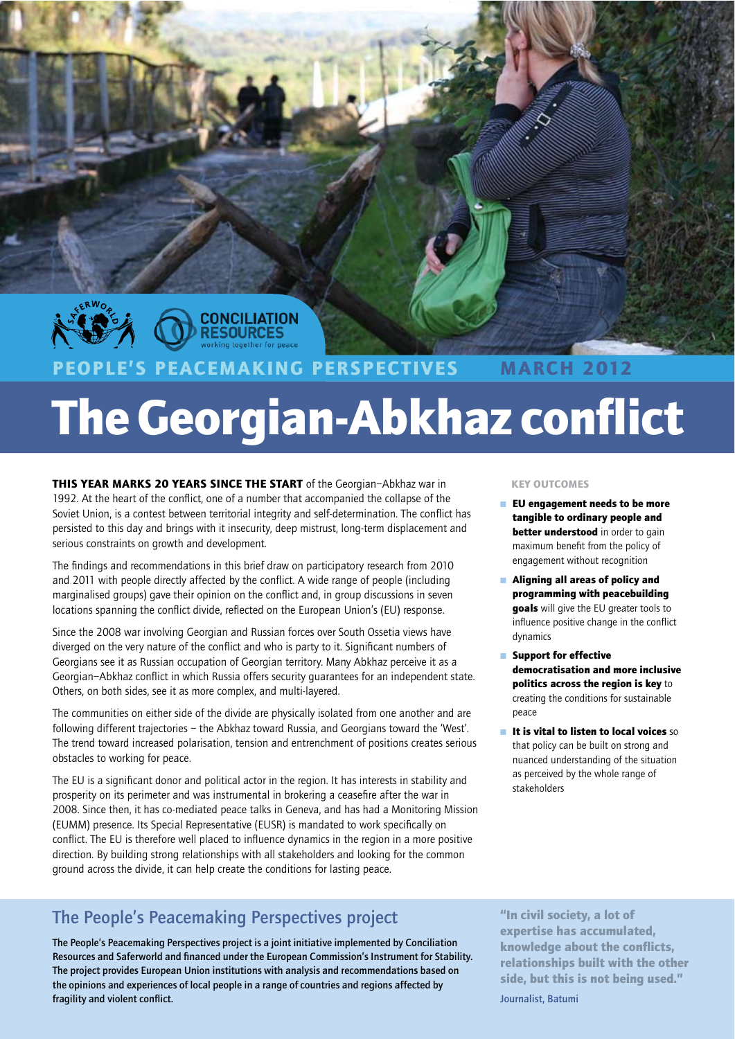

# S PEACEMAKING PERSPECTIVES **MARCH 2012 The Georgian-Abkhaz conflict**

THIS YEAR MARKS 20 YEARS SINCE THE START of the Georgian-Abkhaz war in 1992. At the heart of the conflict, one of a number that accompanied the collapse of the Soviet Union, is a contest between territorial integrity and self-determination. The conflict has persisted to this day and brings with it insecurity, deep mistrust, long-term displacement and serious constraints on growth and development.

The findings and recommendations in this brief draw on participatory research from 2010 and 2011 with people directly affected by the conflict. A wide range of people (including marginalised groups) gave their opinion on the conflict and, in group discussions in seven locations spanning the conflict divide, reflected on the European Union's (EU) response.

Since the 2008 war involving Georgian and Russian forces over South Ossetia views have diverged on the very nature of the conflict and who is party to it. Significant numbers of Georgians see it as Russian occupation of Georgian territory. Many Abkhaz perceive it as a Georgian-Abkhaz conflict in which Russia offers security guarantees for an independent state. Others, on both sides, see it as more complex, and multi-layered.

The communities on either side of the divide are physically isolated from one another and are following different trajectories - the Abkhaz toward Russia, and Georgians toward the 'West'. The trend toward increased polarisation, tension and entrenchment of positions creates serious obstacles to working for peace.

The EU is a significant donor and political actor in the region. It has interests in stability and prosperity on its perimeter and was instrumental in brokering a ceasefire after the war in 2008. Since then, it has co-mediated peace talks in Geneva, and has had a Monitoring Mission (EUMM) presence. Its Special Representative (EUSR) is mandated to work specifically on conflict. The EU is therefore well placed to influence dynamics in the region in a more positive direction. By building strong relationships with all stakeholders and looking for the common ground across the divide, it can help create the conditions for lasting peace.

## The People's Peacemaking Perspectives project

The People's Peacemaking Perspectives project is a joint initiative implemented by Conciliation Resources and Saferworld and financed under the European Commission's Instrument for Stability. The project provides European Union institutions with analysis and recommendations based on the opinions and experiences of local people in a range of countries and regions affected by fragility and violent conflict.

### **KEY OUTCOMES**

- $\blacksquare$  EU engagement needs to be more tangible to ordinary people and better understood in order to gain maximum benefit from the policy of engagement without recognition
- Aligning all areas of policy and programming with peacebuilding goals will give the EU greater tools to influence positive change in the conflict dynamics
- Support for effective democratisation and more inclusive politics across the region is key to creating the conditions for sustainable neace
- $\blacksquare$  It is vital to listen to local voices so that policy can be built on strong and nuanced understanding of the situation as perceived by the whole range of stakeholders

"In civil society, a lot of expertise has accumulated, knowledge about the conflicts, relationships built with the other side, but this is not being used."

Journalist, Batumi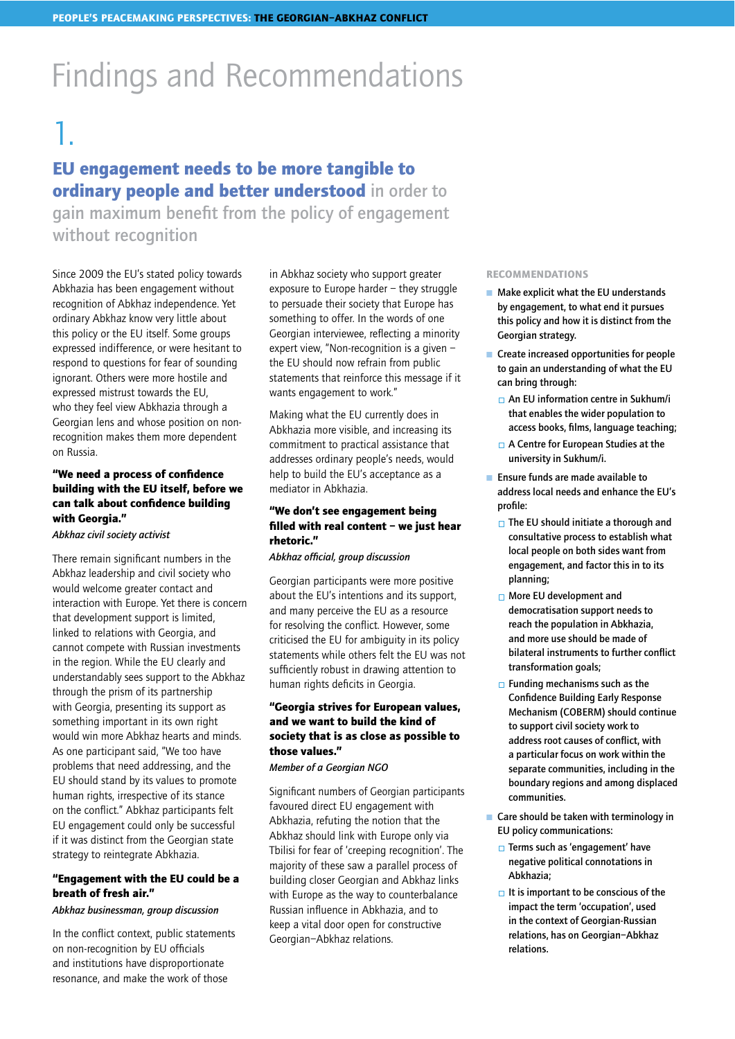# **Findings and Recommendations**

# 1.

## EU engagement needs to be more tangible to ordinary people and better understood in order to

gain maximum benefit from the policy of engagement without recognition

Since 2009 the EU's stated policy towards Abkhazia has been engagement without recognition of Abkhaz independence. Yet ordinary Abkhaz know very little about this policy or the EU itself. Some groups expressed indifference, or were hesitant to respond to questions for fear of sounding ignorant. Others were more hostile and expressed mistrust towards the EU, who they feel view Abkhazia through a Georgian lens and whose position on nonrecognition makes them more dependent on Russia.

### "We need a process of confidence building with the EU itself, before we can talk about confidence building with Georgia."

Abkhaz civil society activist

There remain significant numbers in the Abkhaz leadership and civil society who would welcome greater contact and interaction with Europe. Yet there is concern that development support is limited, linked to relations with Georgia, and cannot compete with Russian investments in the region. While the EU clearly and understandably sees support to the Abkhaz through the prism of its partnership with Georgia, presenting its support as something important in its own right would win more Abkhaz hearts and minds. As one participant said, "We too have problems that need addressing, and the EU should stand by its values to promote human rights, irrespective of its stance on the conflict." Abkhaz participants felt EU engagement could only be successful if it was distinct from the Georgian state strategy to reintegrate Abkhazia.

### "Engagement with the EU could be a breath of fresh air."

### Abkhaz businessman, group discussion

In the conflict context, public statements on non-recognition by EU officials and institutions have disproportionate resonance, and make the work of those

in Abkhaz society who support greater exposure to Europe harder - they struggle to persuade their society that Europe has something to offer. In the words of one Georgian interviewee, reflecting a minority expert view, "Non-recognition is a given the EU should now refrain from public statements that reinforce this message if it wants engagement to work."

Making what the EU currently does in Abkhazia more visible, and increasing its commitment to practical assistance that addresses ordinary people's needs, would help to build the EU's acceptance as a mediator in Abkhazia.

### "We don't see engagement being filled with real content - we just hear rhetoric."

Abkhaz official, group discussion

Georgian participants were more positive about the EU's intentions and its support, and many perceive the EU as a resource for resolving the conflict. However, some criticised the EU for ambiguity in its policy statements while others felt the EU was not sufficiently robust in drawing attention to human rights deficits in Georgia.

### "Georgia strives for European values, and we want to build the kind of society that is as close as possible to those values."

Member of a Georgian NGO

Significant numbers of Georgian participants favoured direct EU engagement with Abkhazia, refuting the notion that the Abkhaz should link with Europe only via Tbilisi for fear of 'creeping recognition'. The majority of these saw a parallel process of building closer Georgian and Abkhaz links with Europe as the way to counterbalance Russian influence in Abkhazia, and to keep a vital door open for constructive Georgian-Abkhaz relations.

- $\blacksquare$  Make explicit what the EU understands by engagement, to what end it pursues this policy and how it is distinct from the Georgian strategy.
- $\blacksquare$  Create increased opportunities for people to gain an understanding of what the EU can bring through:
	- $\Box$  An EU information centre in Sukhum/i that enables the wider population to access books, films, language teaching;
	- $\Box$  A Centre for European Studies at the university in Sukhum/i.
- Ensure funds are made available to address local needs and enhance the EU's profile:
	- $\Box$  The EU should initiate a thorough and consultative process to establish what local people on both sides want from engagement, and factor this in to its planning:
	- $\Box$  More EU development and democratisation support needs to reach the population in Abkhazia, and more use should be made of bilateral instruments to further conflict transformation goals;
	- $\Box$  Funding mechanisms such as the **Confidence Building Early Response** Mechanism (COBERM) should continue to support civil society work to address root causes of conflict, with a particular focus on work within the separate communities, including in the boundary regions and among displaced communities.
- $\blacksquare$  Care should be taken with terminology in EU policy communications:
	- $\Box$  Terms such as 'engagement' have negative political connotations in Abkhazia;
	- $\Box$  It is important to be conscious of the impact the term 'occupation', used in the context of Georgian-Russian relations, has on Georgian-Abkhaz relations.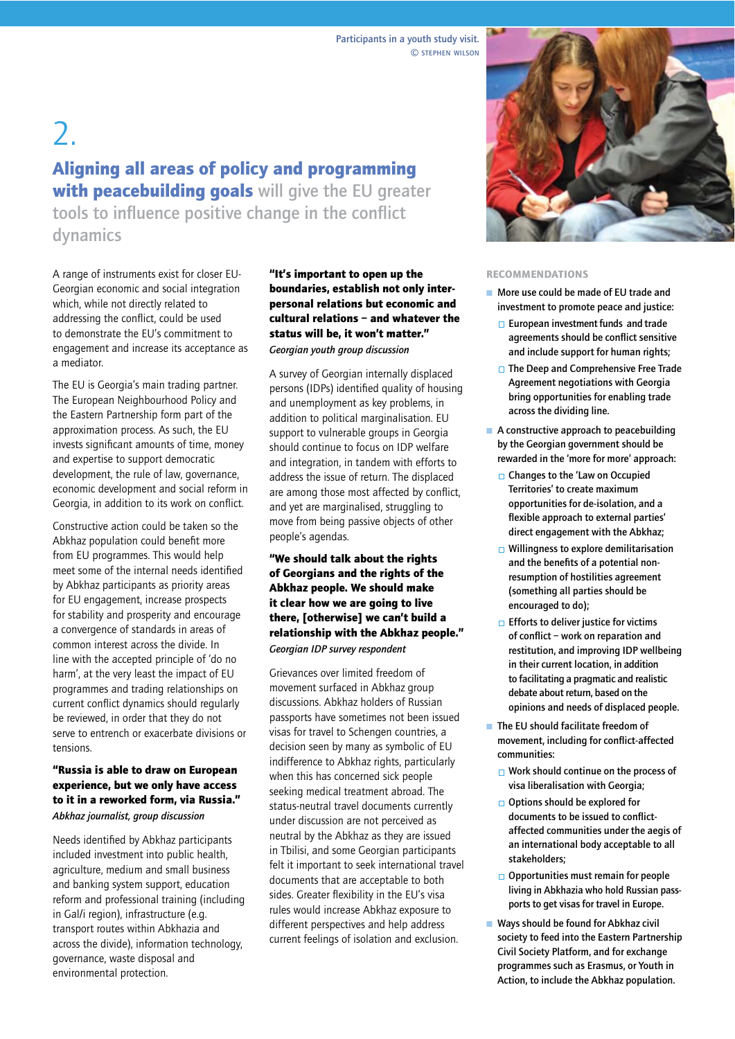# $2.$ Aligning all areas of policy and programming with peacebuilding goals will give the EU greater

tools to influence positive change in the conflict dynamics

A range of instruments exist for closer EU-Georgian economic and social integration which, while not directly related to addressing the conflict, could be used to demonstrate the EU's commitment to engagement and increase its acceptance as a mediator.

The EU is Georgia's main trading partner. The European Neighbourhood Policy and the Eastern Partnership form part of the approximation process. As such, the EU invests significant amounts of time, money and expertise to support democratic development, the rule of law, governance, economic development and social reform in Georgia, in addition to its work on conflict.

Constructive action could be taken so the Abkhaz population could benefit more from EU programmes. This would help meet some of the internal needs identified by Abkhaz participants as priority areas for EU engagement, increase prospects for stability and prosperity and encourage a convergence of standards in areas of common interest across the divide. In line with the accepted principle of 'do no harm', at the very least the impact of EU programmes and trading relationships on current conflict dynamics should regularly be reviewed, in order that they do not serve to entrench or exacerbate divisions or tensions.

### "Russia is able to draw on European experience, but we only have access to it in a reworked form, via Russia." Abkhaz journalist, group discussion

Needs identified by Abkhaz participants included investment into public health, agriculture, medium and small business and banking system support, education reform and professional training (including in Gal/i region), infrastructure (e.g. transport routes within Abkhazia and across the divide), information technology, governance, waste disposal and environmental protection.

"It's important to open up the boundaries, establish not only interpersonal relations but economic and cultural relations - and whatever the status will be, it won't matter." Georgian youth group discussion

A survey of Georgian internally displaced persons (IDPs) identified quality of housing and unemployment as key problems, in addition to political marginalisation. EU support to vulnerable groups in Georgia should continue to focus on IDP welfare and integration, in tandem with efforts to address the issue of return. The displaced are among those most affected by conflict, and yet are marginalised, struggling to move from being passive objects of other people's agendas.

"We should talk about the rights of Georgians and the rights of the Abkhaz people. We should make it clear how we are going to live there, [otherwise] we can't build a relationship with the Abkhaz people." Georgian IDP survey respondent

Grievances over limited freedom of movement surfaced in Abkhaz group discussions. Abkhaz holders of Russian passports have sometimes not been issued visas for travel to Schengen countries, a decision seen by many as symbolic of EU indifference to Abkhaz rights, particularly when this has concerned sick people seeking medical treatment abroad. The status-neutral travel documents currently under discussion are not perceived as neutral by the Abkhaz as they are issued in Tbilisi, and some Georgian participants felt it important to seek international travel documents that are acceptable to both sides. Greater flexibility in the EU's visa rules would increase Abkhaz exposure to different perspectives and help address current feelings of isolation and exclusion.



- More use could be made of EU trade and investment to promote peace and justice:
	- $\Box$  European investment funds and trade agreements should be conflict sensitive and include support for human rights;
	- $\Box$  The Deep and Comprehensive Free Trade Agreement negotiations with Georgia bring opportunities for enabling trade across the dividing line.
- $\blacksquare$  A constructive approach to peacebuilding by the Georgian government should be rewarded in the 'more for more' approach:
	- $\Box$  Changes to the 'Law on Occupied Territories' to create maximum opportunities for de-isolation, and a flexible approach to external parties' direct engagement with the Abkhaz;
	- $\Box$  Willingness to explore demilitarisation and the benefits of a potential nonresumption of hostilities agreement (something all parties should be encouraged to do);
	- $\Box$  Efforts to deliver justice for victims of conflict - work on reparation and restitution, and improving IDP wellbeing in their current location, in addition to facilitating a pragmatic and realistic debate about return, based on the opinions and needs of displaced people.
- $\blacksquare$  The EU should facilitate freedom of movement, including for conflict-affected communities:
	- $\Box$  Work should continue on the process of visa liberalisation with Georgia;
	- $\Box$  Options should be explored for documents to be issued to conflictaffected communities under the aegis of an international body acceptable to all stakeholders:
	- $\Box$  Opportunities must remain for people living in Abkhazia who hold Russian passports to get visas for travel in Europe.
- Ways should be found for Abkhaz civil society to feed into the Eastern Partnership Civil Society Platform, and for exchange programmes such as Erasmus, or Youth in Action, to include the Abkhaz population.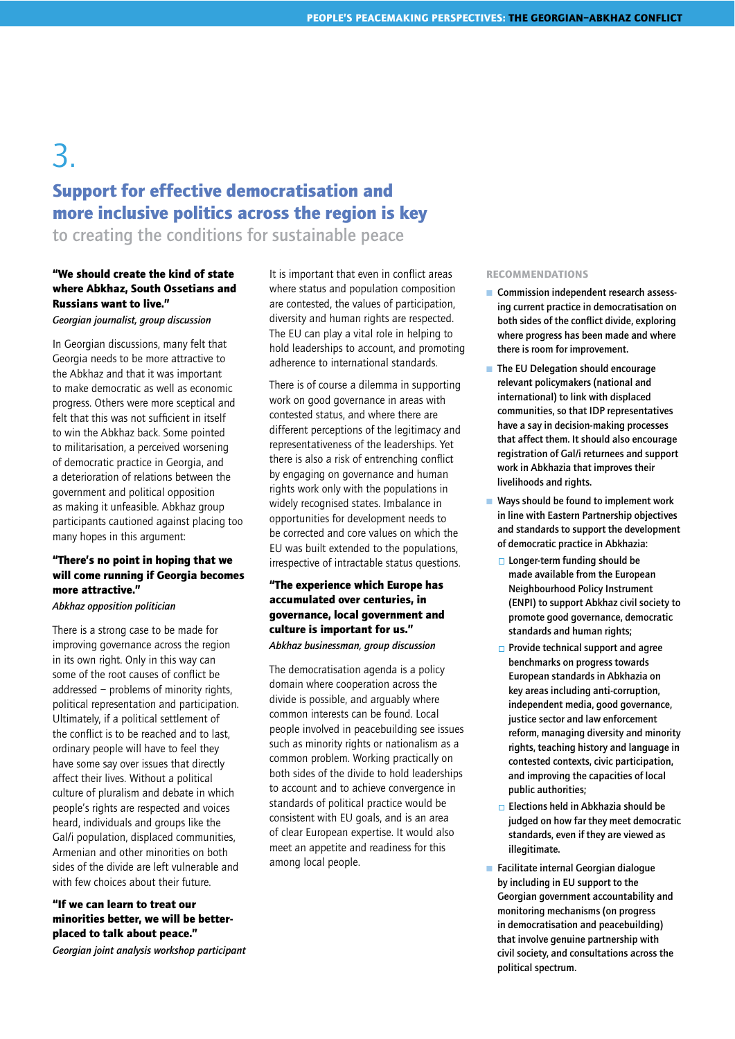## 3 **Support for effective democratisation and** more inclusive politics across the region is key

to creating the conditions for sustainable peace

### "We should create the kind of state where Abkhaz, South Ossetians and **Russians want to live."**

Georgian journalist, group discussion

In Georgian discussions, many felt that Georgia needs to be more attractive to the Abkhaz and that it was important to make democratic as well as economic progress. Others were more sceptical and felt that this was not sufficient in itself to win the Abkhaz back. Some pointed to militarisation, a perceived worsening of democratic practice in Georgia, and a deterioration of relations between the government and political opposition as making it unfeasible. Abkhaz group participants cautioned against placing too many hopes in this argument:

### "There's no point in hoping that we will come running if Georgia becomes more attractive."

Abkhaz opposition politician

There is a strong case to be made for improving governance across the region in its own right. Only in this way can some of the root causes of conflict be addressed - problems of minority rights, political representation and participation. Ultimately, if a political settlement of the conflict is to be reached and to last, ordinary people will have to feel they have some say over issues that directly affect their lives. Without a political culture of pluralism and debate in which people's rights are respected and voices heard, individuals and groups like the Gal/i population, displaced communities, Armenian and other minorities on both sides of the divide are left vulnerable and with few choices about their future.

"If we can learn to treat our minorities better, we will be betterplaced to talk about peace." Georgian joint analysis workshop participant It is important that even in conflict areas where status and population composition are contested, the values of participation, diversity and human rights are respected. The EU can play a vital role in helping to hold leaderships to account, and promoting adherence to international standards.

There is of course a dilemma in supporting work on good governance in areas with contested status, and where there are different perceptions of the legitimacy and representativeness of the leaderships. Yet there is also a risk of entrenching conflict by engaging on governance and human rights work only with the populations in widely recognised states. Imbalance in opportunities for development needs to be corrected and core values on which the EU was built extended to the populations, irrespective of intractable status questions.

### "The experience which Europe has accumulated over centuries, in governance, local government and culture is important for us." Abkhaz businessman, group discussion

The democratisation agenda is a policy domain where cooperation across the divide is possible, and arquably where common interests can be found. Local people involved in peacebuilding see issues such as minority rights or nationalism as a common problem. Working practically on both sides of the divide to hold leaderships to account and to achieve convergence in standards of political practice would be consistent with EU goals, and is an area of clear European expertise. It would also meet an appetite and readiness for this among local people.

- Commission independent research assessing current practice in democratisation on both sides of the conflict divide, exploring where progress has been made and where there is room for improvement.
- The EU Delegation should encourage relevant policymakers (national and international) to link with displaced communities, so that IDP representatives have a say in decision-making processes that affect them. It should also encourage registration of Gal/i returnees and support work in Abkhazia that improves their livelihoods and rights.
- Ways should be found to implement work in line with Eastern Partnership objectives and standards to support the development of democratic practice in Abkhazia:
	- □ Longer-term funding should be made available from the European Neighbourhood Policy Instrument (ENPI) to support Abkhaz civil society to promote good governance, democratic standards and human rights:
	- $\Box$  Provide technical support and agree benchmarks on progress towards European standards in Abkhazia on key areas including anti-corruption, independent media, good governance, justice sector and law enforcement reform, managing diversity and minority rights, teaching history and language in contested contexts, civic participation, and improving the capacities of local public authorities;
	- $\Box$  Elections held in Abkhazia should be judged on how far they meet democratic standards, even if they are viewed as illegitimate.
- Facilitate internal Georgian dialoque by including in EU support to the Georgian government accountability and monitoring mechanisms (on progress in democratisation and peacebuilding) that involve genuine partnership with civil society, and consultations across the political spectrum.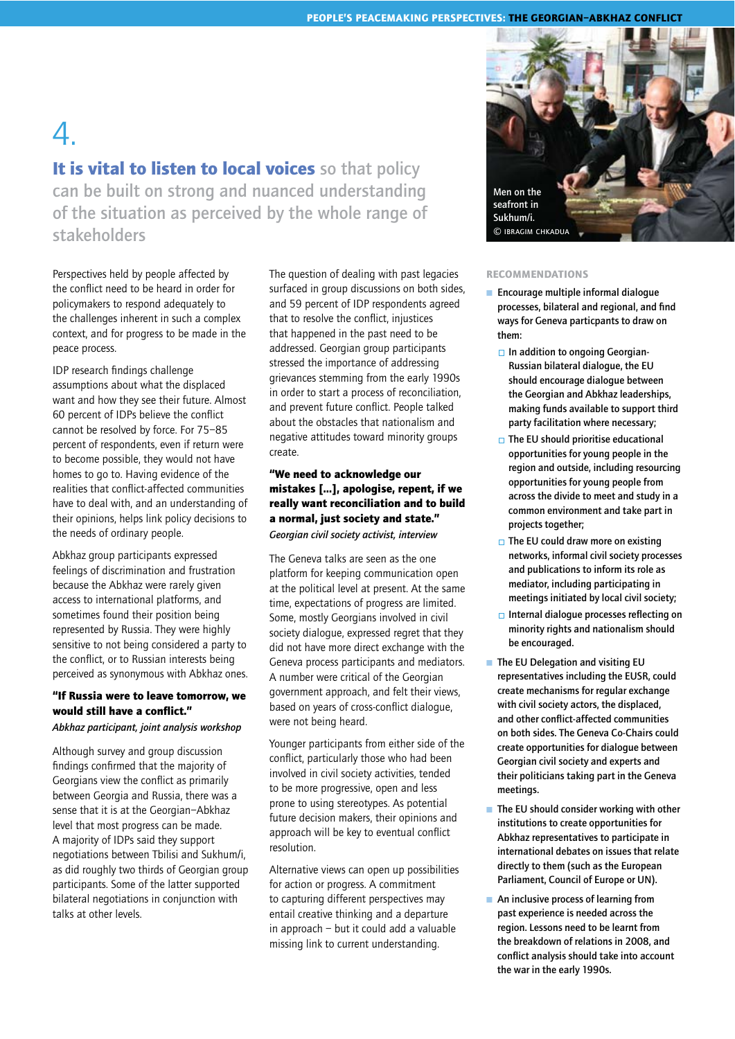# $\mathcal{A}_{\cdot}$

It is vital to listen to local voices so that policy can be built on strong and nuanced understanding of the situation as perceived by the whole range of stakeholders

Perspectives held by people affected by the conflict need to be heard in order for policymakers to respond adequately to the challenges inherent in such a complex context, and for progress to be made in the peace process.

IDP research findings challenge assumptions about what the displaced want and how they see their future. Almost 60 percent of IDPs believe the conflict cannot be resolved by force. For 75-85 percent of respondents, even if return were to become possible, they would not have homes to go to. Having evidence of the realities that conflict-affected communities have to deal with, and an understanding of their opinions, helps link policy decisions to the needs of ordinary people.

Abkhaz group participants expressed feelings of discrimination and frustration because the Abkhaz were rarely given access to international platforms, and sometimes found their position being represented by Russia. They were highly sensitive to not being considered a party to the conflict, or to Russian interests being perceived as synonymous with Abkhaz ones.

### "If Russia were to leave tomorrow, we would still have a conflict." Abkhaz participant, joint analysis workshop

Although survey and group discussion findings confirmed that the majority of Georgians view the conflict as primarily between Georgia and Russia, there was a sense that it is at the Georgian-Abkhaz level that most progress can be made. A majority of IDPs said they support negotiations between Tbilisi and Sukhum/i, as did roughly two thirds of Georgian group participants. Some of the latter supported bilateral negotiations in conjunction with talks at other levels.

The question of dealing with past legacies surfaced in group discussions on both sides, and 59 percent of IDP respondents agreed that to resolve the conflict, injustices that happened in the past need to be addressed. Georgian group participants stressed the importance of addressing grievances stemming from the early 1990s in order to start a process of reconciliation, and prevent future conflict. People talked about the obstacles that nationalism and negative attitudes toward minority groups create.

### "We need to acknowledge our mistakes [...], apologise, repent, if we really want reconciliation and to build a normal, just society and state." Georgian civil society activist, interview

The Geneva talks are seen as the one platform for keeping communication open at the political level at present. At the same time, expectations of progress are limited. Some, mostly Georgians involved in civil society dialogue, expressed regret that they did not have more direct exchange with the Geneva process participants and mediators. A number were critical of the Georgian government approach, and felt their views, based on years of cross-conflict dialoque, were not being heard.

Younger participants from either side of the conflict, particularly those who had been involved in civil society activities, tended to be more progressive, open and less prone to using stereotypes. As potential future decision makers, their opinions and approach will be key to eventual conflict resolution.

Alternative views can open up possibilities for action or progress. A commitment to capturing different perspectives may entail creative thinking and a departure in approach - but it could add a valuable missing link to current understanding.



- $\blacksquare$  Encourage multiple informal dialogue processes, bilateral and regional, and find ways for Geneva particpants to draw on them:
	- □ In addition to ongoing Georgian-Russian bilateral dialoque, the EU should encourage dialogue between the Georgian and Abkhaz leaderships, making funds available to support third party facilitation where necessary;
	- $\Box$  The EU should prioritise educational opportunities for voung people in the region and outside, including resourcing opportunities for young people from across the divide to meet and study in a common environment and take part in projects together;
	- $\Box$  The EU could draw more on existing networks, informal civil society processes and publications to inform its role as mediator, including participating in meetings initiated by local civil society;
	- Internal dialogue processes reflecting on minority rights and nationalism should be encouraged.
- The EU Delegation and visiting EU representatives including the EUSR, could create mechanisms for regular exchange with civil society actors, the displaced, and other conflict-affected communities on both sides. The Geneva Co-Chairs could create opportunities for dialogue between Georgian civil society and experts and their politicians taking part in the Geneva meetings.
- $\blacksquare$  The EU should consider working with other institutions to create opportunities for Abkhaz representatives to participate in international debates on issues that relate directly to them (such as the European Parliament, Council of Europe or UN).
- $\blacksquare$  An inclusive process of learning from past experience is needed across the region. Lessons need to be learnt from the breakdown of relations in 2008, and conflict analysis should take into account the war in the early 1990s.